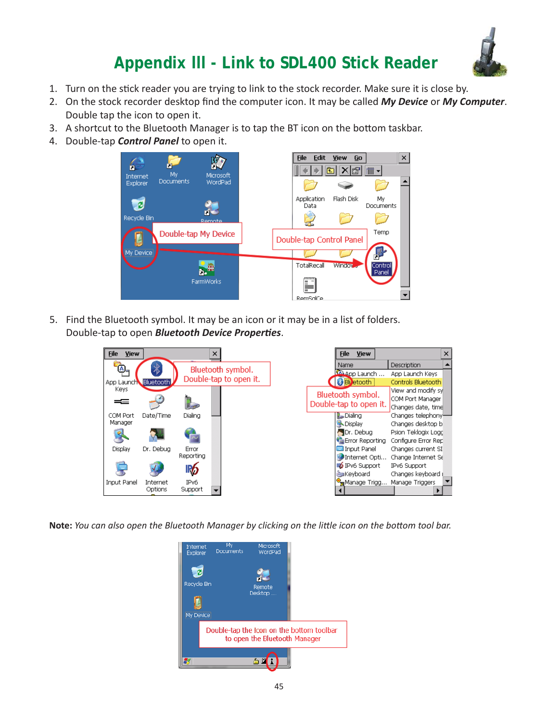

- 1. Turn on the stick reader you are trying to link to the stock recorder. Make sure it is close by.
- 2. On the stock recorder desktop find the computer icon. It may be called *My Device* or *My Computer*. Double tap the icon to open it.
- 3. A shortcut to the Bluetooth Manager is to tap the BT icon on the bottom taskbar.
- 4. Double-tap *Control Panel* to open it.



5. Find the Bluetooth symbol. It may be an icon or it may be in a list of folders. Double-tap to open *Bluetooth Device Properties*.

| <b>File</b><br><b>View</b> |           |                   | $\times$               |      | File<br><b>View</b>          |                     | × |
|----------------------------|-----------|-------------------|------------------------|------|------------------------------|---------------------|---|
| ⋒                          |           |                   |                        | Name |                              | Description         |   |
|                            | 7,        |                   | Bluetooth symbol.      |      | <b>La App Launch</b>         | App Launch Keys     |   |
| App Launch Bluetooth       |           |                   | Double-tap to open it. |      | <b>BI</b> etooth             | Controls Bluetooth  |   |
| Keys                       |           |                   |                        |      | Bluetooth symbol.            | View and modify syl |   |
| ==                         |           |                   |                        |      | Double-tap to open it.       | COM Port Manager    |   |
|                            |           |                   |                        |      |                              | Changes date, time  |   |
| COM Port                   | Date/Time | Dialing           |                        |      | <b>L</b> Dialing             | Changes telephony   |   |
| Manager                    |           |                   |                        |      | <b>N</b> Display             | Changes desktop bi  |   |
|                            |           | $\overline{\sim}$ |                        |      | Or. Debua                    | Psion Teklogix Logo |   |
|                            |           |                   |                        |      | <b>C</b> Error Reporting     | Configure Error Rep |   |
| Display                    | Dr. Debug | Error             |                        |      | Input Panel                  | Changes current SI  |   |
|                            |           | <b>Reporting</b>  |                        |      | Dinternet Opti               | Change Internet Se  |   |
|                            |           | 1P6               |                        |      | <b>ID</b> IPv6 Support       | IPv6 Support        |   |
|                            |           |                   |                        |      | <b>Manufacturer</b> Keyboard | Changes keyboard (  |   |
| Input Panel                | Internet  | IPv6              |                        |      | Manage Trigg                 | Manage Triggers     |   |
|                            | Options   | Support           |                        |      |                              |                     |   |

**Note:** You can also open the Bluetooth Manager by clicking on the little icon on the bottom tool bar.

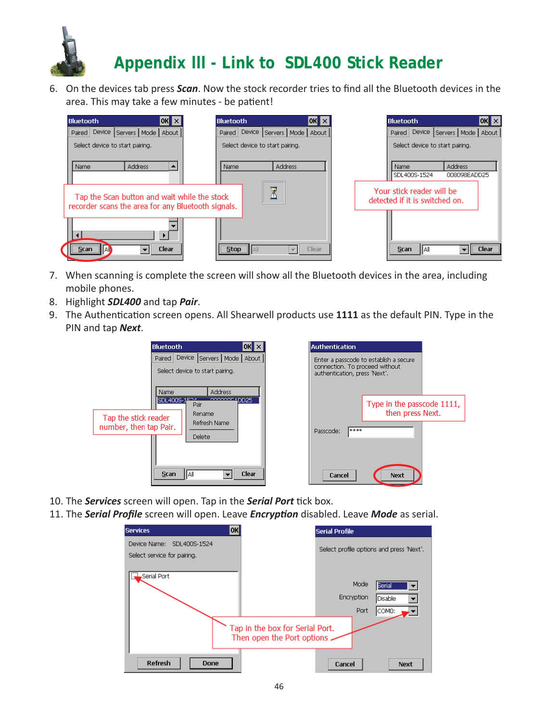

6. On the devices tab press *Scan*. Now the stock recorder tries to find all the Bluetooth devices in the area. This may take a few minutes - be patient!



- 7. When scanning is complete the screen will show all the Bluetooth devices in the area, including mobile phones.
- 8. Highlight *SDL400* and tap *Pair*.
- 9. The Authentication screen opens. All Shearwell products use 1111 as the default PIN. Type in the PIN and tap *Next*.

|                                                | <b>Bluetooth</b>                                                               | OK                                             |  | <b>Authentication</b>                                                                                     |                                                |  |
|------------------------------------------------|--------------------------------------------------------------------------------|------------------------------------------------|--|-----------------------------------------------------------------------------------------------------------|------------------------------------------------|--|
|                                                | Device Servers   Mode   About  <br>Paired  <br>Select device to start pairing. |                                                |  | Enter a passcode to establish a secure<br>connection. To proceed without<br>authentication, press 'Next', |                                                |  |
| Tap the stick reader<br>number, then tap Pair. | Name<br>SDL400S-1F24<br>Pair<br>Rename<br>Delete                               | <b>Address</b><br>cocooccaDD25<br>Refresh Name |  | ****<br>Passcode:                                                                                         | Type in the passcode 1111,<br>then press Next. |  |
|                                                | IIAII<br><b>Scan</b>                                                           | <b>Clear</b>                                   |  | Cancel                                                                                                    | Next                                           |  |

- 10. The **Services** screen will open. Tap in the **Serial Port** tick box.
- 11. The **Serial Profile** screen will open. Leave *Encryption* disabled. Leave Mode as serial.

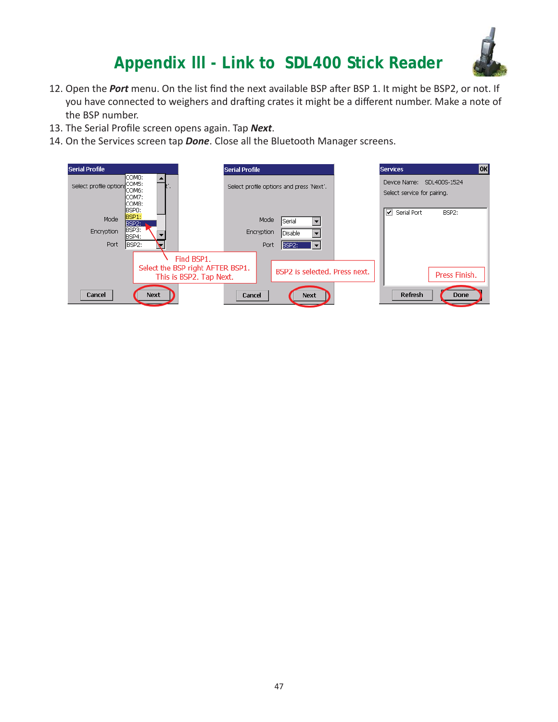

- 12. Open the *Port* menu. On the list find the next available BSP after BSP 1. It might be BSP2, or not. If you have connected to weighers and drafting crates it might be a different number. Make a note of the BSP number.
- 13. The Serial Profile screen opens again. Tap **Next**.
- 14. On the Services screen tap *Done*. Close all the Bluetooth Manager screens.